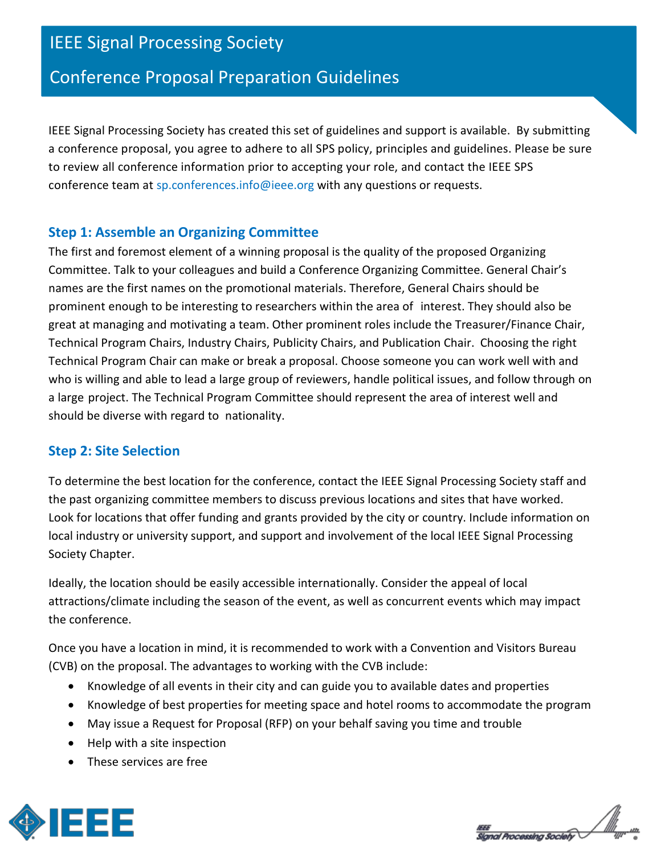# IEEE Signal Processing Society

# Conference Proposal Preparation Guidelines

IEEE Signal Processing Society has created this set of guidelines and support is available. By submitting a conference proposal, you agree to adhere to all SPS policy, principles and guidelines. Please be sure to review all conference information prior to accepting your role, and contact the IEEE SPS conference team at sp.conferences.info@ieee.org with any questions or requests.

## **Step 1: Assemble an Organizing Committee**

The first and foremost element of a winning proposal is the quality of the proposed Organizing Committee. Talk to your colleagues and build a Conference Organizing Committee. General Chair's names are the first names on the promotional materials. Therefore, General Chairs should be prominent enough to be interesting to researchers within the area of interest. They should also be great at managing and motivating a team. Other prominent roles include the Treasurer/Finance Chair, Technical Program Chairs, Industry Chairs, Publicity Chairs, and Publication Chair. Choosing the right Technical Program Chair can make or break a proposal. Choose someone you can work well with and who is willing and able to lead a large group of reviewers, handle political issues, and follow through on a large project. The Technical Program Committee should represent the area of interest well and should be diverse with regard to nationality.

## **Step 2: Site Selection**

To determine the best location for the conference, contact the IEEE Signal Processing Society staff and the past organizing committee members to discuss previous locations and sites that have worked. Look for locations that offer funding and grants provided by the city or country. Include information on local industry or university support, and support and involvement of the local IEEE Signal Processing Society Chapter.

Ideally, the location should be easily accessible internationally. Consider the appeal of local attractions/climate including the season of the event, as well as concurrent events which may impact the conference.

Once you have a location in mind, it is recommended to work with a Convention and Visitors Bureau (CVB) on the proposal. The advantages to working with the CVB include:

- Knowledge of all events in their city and can guide you to available dates and properties
- Knowledge of best properties for meeting space and hotel rooms to accommodate the program
- May issue a Request for Proposal (RFP) on your behalf saving you time and trouble
- Help with a site inspection
- These services are free



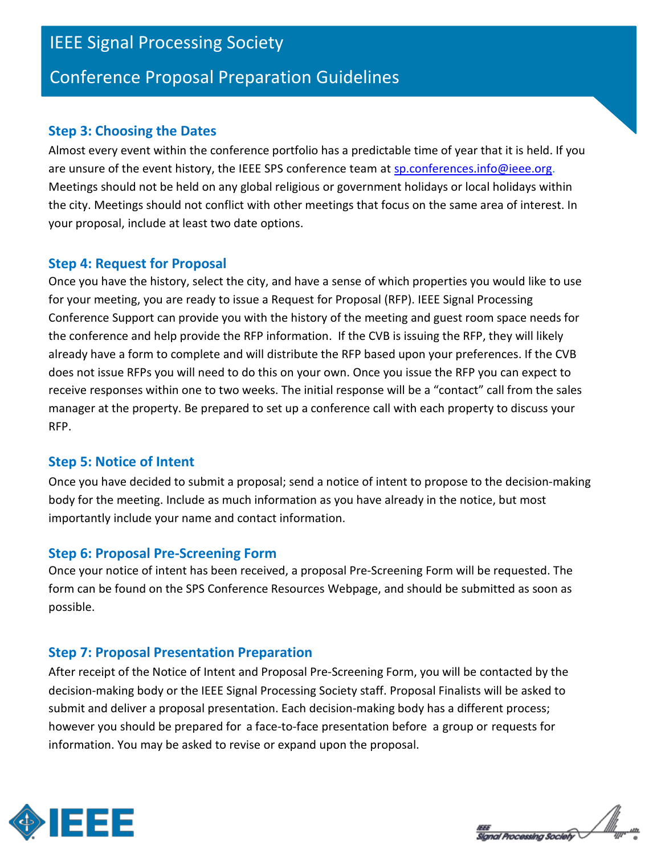# IEEE Signal Processing Society

## Conference Proposal Preparation Guidelines

### **Step 3: Choosing the Dates**

Almost every event within the conference portfolio has a predictable time of year that it is held. If you are unsure of the event history, the IEEE SPS conference team at [sp.conferences.info@ieee.org.](mailto:sp.conferences.info@ieee.org) Meetings should not be held on any global religious or government holidays or local holidays within the city. Meetings should not conflict with other meetings that focus on the same area of interest. In your proposal, include at least two date options.

#### **Step 4: Request for Proposal**

Once you have the history, select the city, and have a sense of which properties you would like to use for your meeting, you are ready to issue a Request for Proposal (RFP). IEEE Signal Processing Conference Support can provide you with the history of the meeting and guest room space needs for the conference and help provide the RFP information. If the CVB is issuing the RFP, they will likely already have a form to complete and will distribute the RFP based upon your preferences. If the CVB does not issue RFPs you will need to do this on your own. Once you issue the RFP you can expect to receive responses within one to two weeks. The initial response will be a "contact" call from the sales manager at the property. Be prepared to set up a conference call with each property to discuss your RFP.

## **Step 5: Notice of Intent**

Once you have decided to submit a proposal; send a notice of intent to propose to the decision-making body for the meeting. Include as much information as you have already in the notice, but most importantly include your name and contact information.

## **Step 6: Proposal Pre-Screening Form**

Once your notice of intent has been received, a proposal Pre-Screening Form will be requested. The form can be found on the SPS Conference Resources Webpage, and should be submitted as soon as possible.

## **Step 7: Proposal Presentation Preparation**

After receipt of the Notice of Intent and Proposal Pre-Screening Form, you will be contacted by the decision-making body or the IEEE Signal Processing Society staff. Proposal Finalists will be asked to submit and deliver a proposal presentation. Each decision-making body has a different process; however you should be prepared for a face-to-face presentation before a group or requests for information. You may be asked to revise or expand upon the proposal.